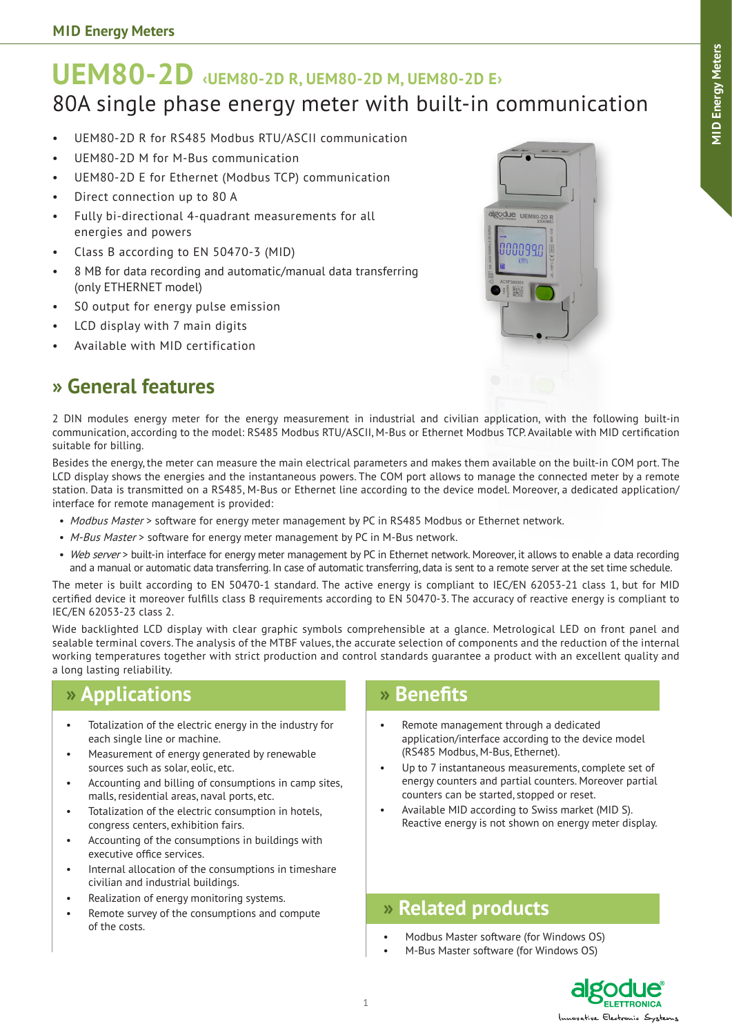# **UEM80-2D ‹UEM80-2D R, UEM80-2D M, UEM80-2D E›** 80A single phase energy meter with built-in communication

- UEM80-2D R for RS485 Modbus RTU/ASCII communication
- UEM80-2D M for M-Bus communication
- UEM80-2D E for Ethernet (Modbus TCP) communication
- Direct connection up to 80 A
- • Fully bi-directional 4-quadrant measurements for all energies and powers
- Class B according to EN 50470-3 (MID)
- • 8 MB for data recording and automatic/manual data transferring (only ETHERNET model)
- S0 output for energy pulse emission
- • LCD display with 7 main digits
- Available with MID certification



## **» General features**

2 DIN modules energy meter for the energy measurement in industrial and civilian application, with the following built-in communication, according to the model: RS485 Modbus RTU/ASCII, M-Bus or Ethernet Modbus TCP. Available with MID certification suitable for billing.

Besides the energy, the meter can measure the main electrical parameters and makes them available on the built-in COM port. The LCD display shows the energies and the instantaneous powers. The COM port allows to manage the connected meter by a remote station. Data is transmitted on a RS485, M-Bus or Ethernet line according to the device model. Moreover, a dedicated application/ interface for remote management is provided:

- Modbus Master > software for energy meter management by PC in RS485 Modbus or Ethernet network.
- M-Bus Master > software for energy meter management by PC in M-Bus network.
- Web server > built-in interface for energy meter management by PC in Ethernet network. Moreover, it allows to enable a data recording and a manual or automatic data transferring. In case of automatic transferring, data is sent to a remote server at the set time schedule.

The meter is built according to EN 50470-1 standard. The active energy is compliant to IEC/EN 62053-21 class 1, but for MID certified device it moreover fulfills class B requirements according to EN 50470-3. The accuracy of reactive energy is compliant to IEC/EN 62053-23 class 2.

Wide backlighted LCD display with clear graphic symbols comprehensible at a glance. Metrological LED on front panel and sealable terminal covers. The analysis of the MTBF values, the accurate selection of components and the reduction of the internal working temperatures together with strict production and control standards guarantee a product with an excellent quality and a long lasting reliability.

### **» Applications**

- Totalization of the electric energy in the industry for each single line or machine.
- Measurement of energy generated by renewable sources such as solar, eolic, etc.
- Accounting and billing of consumptions in camp sites, malls, residential areas, naval ports, etc.
- Totalization of the electric consumption in hotels, congress centers, exhibition fairs.
- Accounting of the consumptions in buildings with executive office services.
- Internal allocation of the consumptions in timeshare civilian and industrial buildings.
- Realization of energy monitoring systems.
- Remote survey of the consumptions and compute of the costs.

### **» Benefits**

- Remote management through a dedicated application/interface according to the device model (RS485 Modbus, M-Bus, Ethernet).
- Up to 7 instantaneous measurements, complete set of energy counters and partial counters. Moreover partial counters can be started, stopped or reset.
- Available MID according to Swiss market (MID S). Reactive energy is not shown on energy meter display.

### **» Related products**

- Modbus Master software (for Windows OS)
- M-Bus Master software (for Windows OS)

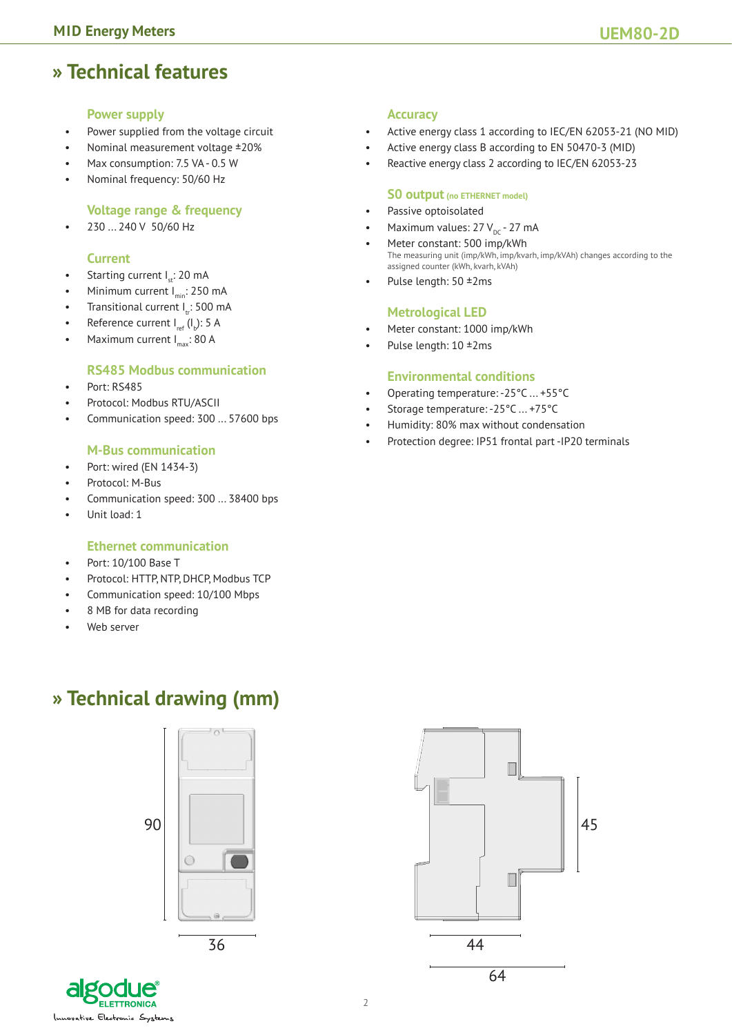## **» Technical features**

#### **Power supply**

- Power supplied from the voltage circuit
- Nominal measurement voltage ±20%
- Max consumption: 7.5 VA 0.5 W
- Nominal frequency: 50/60 Hz

#### **Voltage range & frequency**

230 ... 240 V 50/60 Hz

#### **Current**

- Starting current  $I_{st}$ : 20 mA
- Minimum current  $I_{\text{min}}$ : 250 mA
- Transitional current I.: 500 mA
- Reference current  $I_{ref}$  ( $I_b$ ): 5 A
- Maximum current  $I_{max}$ : 80 A

#### **RS485 Modbus communication**

- Port: RS485
- Protocol: Modbus RTU/ASCII
- Communication speed: 300 ... 57600 bps

#### **M-Bus communication**

- Port: wired (EN 1434-3)
- Protocol: M-Bus
- Communication speed: 300 ... 38400 bps
- Unit load: 1

#### **Ethernet communication**

- Port: 10/100 Base T
- Protocol: HTTP, NTP, DHCP, Modbus TCP
- Communication speed: 10/100 Mbps
- 8 MB for data recording
- Web server

#### **Accuracy**

- • Active energy class 1 according to IEC/EN 62053-21 (NO MID)
- • Active energy class B according to EN 50470-3 (MID)
- • Reactive energy class 2 according to IEC/EN 62053-23

#### **S0 output (no ETHERNET model)**

- • Passive optoisolated
- Maximum values:  $27 V_{\text{pc}}$  27 mA
- Meter constant: 500 imp/kWh The measuring unit (imp/kWh, imp/kvarh, imp/kVAh) changes according to the assigned counter (kWh, kvarh, kVAh)
- Pulse length:  $50 \pm 2$ ms

#### **Metrological LED**

- Meter constant: 1000 imp/kWh
- Pulse length:  $10 \pm 2$ ms

#### **Environmental conditions**

- Operating temperature: -25°C ... +55°C
- Storage temperature: -25°C ... +75°C
- Humidity: 80% max without condensation
- Protection degree: IP51 frontal part -IP20 terminals

## **» Technical drawing (mm)**

90  $\circ$ 36

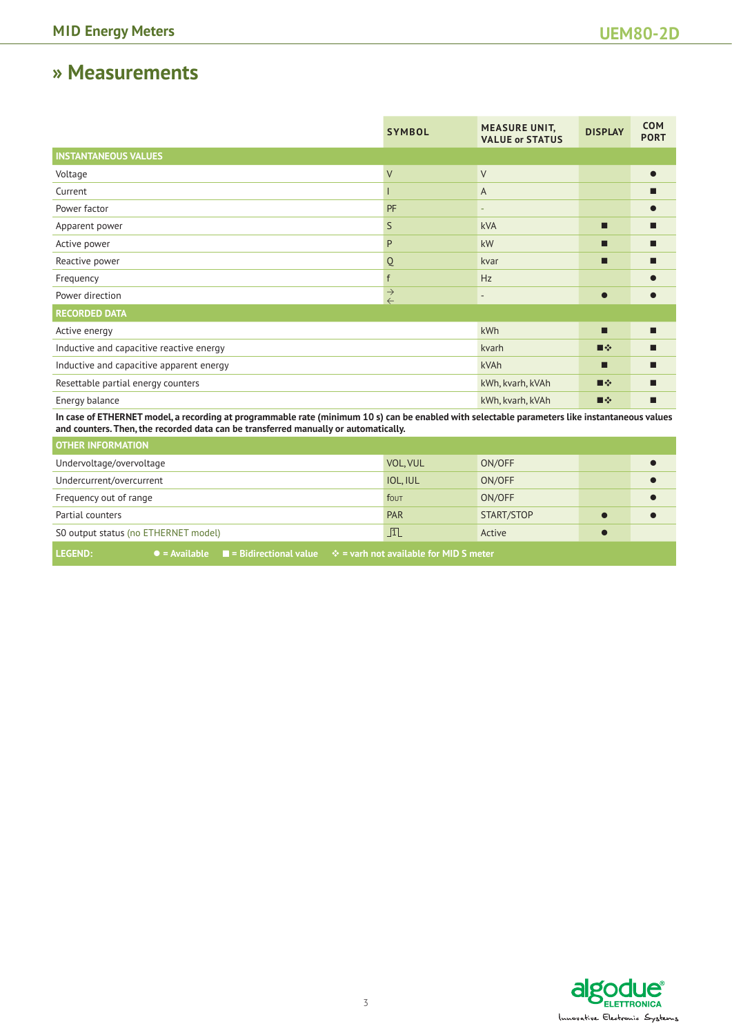### **» Measurements**

|                                          | <b>SYMBOL</b>                        | <b>MEASURE UNIT,</b><br><b>VALUE or STATUS</b> | <b>DISPLAY</b> | <b>COM</b><br><b>PORT</b> |
|------------------------------------------|--------------------------------------|------------------------------------------------|----------------|---------------------------|
| <b>INSTANTANEOUS VALUES</b>              |                                      |                                                |                |                           |
| Voltage                                  | $\sf V$                              | $\vee$                                         |                |                           |
| Current                                  |                                      | A                                              |                |                           |
| Power factor                             | PF                                   |                                                |                |                           |
| Apparent power                           | S                                    | <b>kVA</b>                                     | П              |                           |
| Active power                             | P                                    | kW                                             | . .            |                           |
| Reactive power                           | Q                                    | kvar                                           | . .            |                           |
| Frequency                                | f                                    | Hz                                             |                |                           |
| Power direction                          | $\stackrel{\rightarrow}{\leftarrow}$ | $\qquad \qquad \blacksquare$                   | $\bullet$      |                           |
| <b>RECORDED DATA</b>                     |                                      |                                                |                |                           |
| Active energy                            |                                      | kWh                                            | П              |                           |
| Inductive and capacitive reactive energy |                                      | kvarh                                          | ■※             |                           |
| Inductive and capacitive apparent energy |                                      | kVAh                                           | . .            | ■                         |
| Resettable partial energy counters       |                                      | kWh, kvarh, kVAh                               | ■※             |                           |
| Energy balance                           |                                      | kWh, kvarh, kVAh                               | ■※             | ■                         |
|                                          |                                      |                                                |                |                           |

**In case of ETHERNET model, a recording at programmable rate (minimum 10 s) can be enabled with selectable parameters like instantaneous values and counters. Then, the recorded data can be transferred manually or automatically.**

| <b>OTHER INFORMATION</b>                                                                                                             |                 |            |  |
|--------------------------------------------------------------------------------------------------------------------------------------|-----------------|------------|--|
| Undervoltage/overvoltage                                                                                                             | VOL, VUL        | ON/OFF     |  |
| Undercurrent/overcurrent                                                                                                             | <b>IOL, IUL</b> | ON/OFF     |  |
| Frequency out of range                                                                                                               | fout            | ON/OFF     |  |
| Partial counters                                                                                                                     | <b>PAR</b>      | START/STOP |  |
| SO output status (no ETHERNET model)                                                                                                 | $\Box$          | Active     |  |
| <b>LEGEND:</b><br>$\bullet$ = Available $\quad \blacksquare$ = Bidirectional value $\quad \div$ = varh not available for MID S meter |                 |            |  |